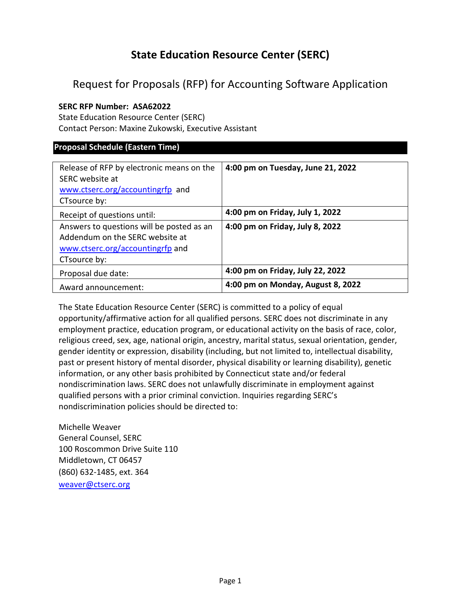# **State Education Resource Center (SERC)**

# Request for Proposals (RFP) for Accounting Software Application

# **SERC RFP Number: ASA62022**

State Education Resource Center (SERC) Contact Person: Maxine Zukowski, Executive Assistant

# **Proposal Schedule (Eastern Time)**

| Release of RFP by electronic means on the<br>SERC website at<br>www.ctserc.org/accountingrfp and<br>CTsource by:                 | 4:00 pm on Tuesday, June 21, 2022 |
|----------------------------------------------------------------------------------------------------------------------------------|-----------------------------------|
| Receipt of questions until:                                                                                                      | 4:00 pm on Friday, July 1, 2022   |
| Answers to questions will be posted as an<br>Addendum on the SERC website at<br>www.ctserc.org/accountingrfp and<br>CTsource by: | 4:00 pm on Friday, July 8, 2022   |
| Proposal due date:                                                                                                               | 4:00 pm on Friday, July 22, 2022  |
| Award announcement:                                                                                                              | 4:00 pm on Monday, August 8, 2022 |

The State Education Resource Center (SERC) is committed to a policy of equal opportunity/affirmative action for all qualified persons. SERC does not discriminate in any employment practice, education program, or educational activity on the basis of race, color, religious creed, sex, age, national origin, ancestry, marital status, sexual orientation, gender, gender identity or expression, disability (including, but not limited to, intellectual disability, past or present history of mental disorder, physical disability or learning disability), genetic information, or any other basis prohibited by Connecticut state and/or federal nondiscrimination laws. SERC does not unlawfully discriminate in employment against qualified persons with a prior criminal conviction. Inquiries regarding SERC's nondiscrimination policies should be directed to:

Michelle Weaver General Counsel, SERC 100 Roscommon Drive Suite 110 Middletown, CT 06457 (860) 632-1485, ext. 364 [weaver@ctserc.org](mailto:weaver@ctserc.org)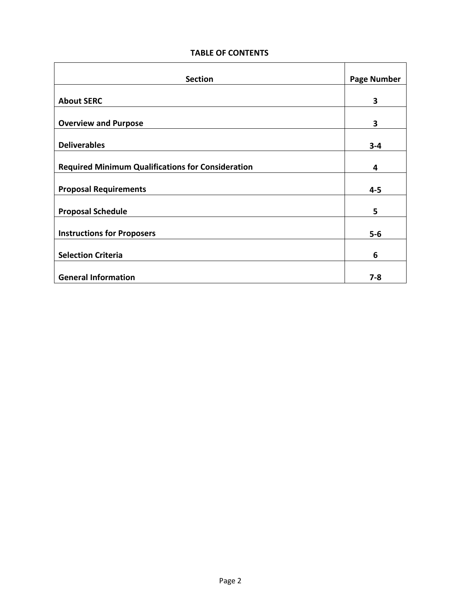# **TABLE OF CONTENTS**

| <b>Section</b>                                           | <b>Page Number</b> |
|----------------------------------------------------------|--------------------|
|                                                          |                    |
| <b>About SERC</b>                                        | 3                  |
| <b>Overview and Purpose</b>                              | 3                  |
| <b>Deliverables</b>                                      | $3 - 4$            |
| <b>Required Minimum Qualifications for Consideration</b> | 4                  |
| <b>Proposal Requirements</b>                             | $4 - 5$            |
| <b>Proposal Schedule</b>                                 | 5                  |
| <b>Instructions for Proposers</b>                        | $5-6$              |
| <b>Selection Criteria</b>                                | 6                  |
| <b>General Information</b>                               | $7-8$              |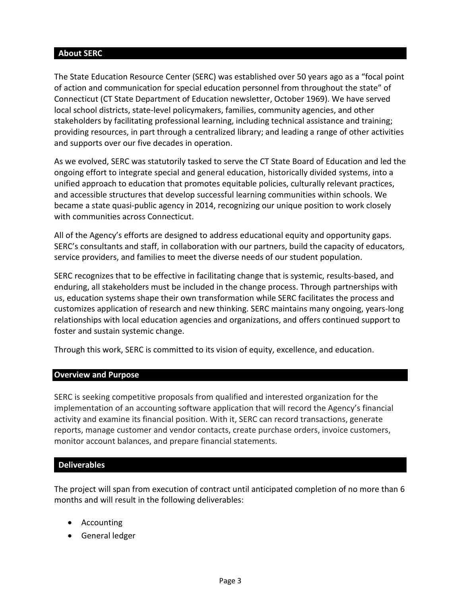# **About SERC**

The State Education Resource Center (SERC) was established over 50 years ago as a "focal point of action and communication for special education personnel from throughout the state" of Connecticut (CT State Department of Education newsletter, October 1969). We have served local school districts, state-level policymakers, families, community agencies, and other stakeholders by facilitating professional learning, including technical assistance and training; providing resources, in part through a centralized library; and leading a range of other activities and supports over our five decades in operation.

As we evolved, SERC was statutorily tasked to serve the CT State Board of Education and led the ongoing effort to integrate special and general education, historically divided systems, into a unified approach to education that promotes equitable policies, culturally relevant practices, and accessible structures that develop successful learning communities within schools. We became a state quasi-public agency in 2014, recognizing our unique position to work closely with communities across Connecticut.

All of the Agency's efforts are designed to address educational equity and opportunity gaps. SERC's consultants and staff, in collaboration with our partners, build the capacity of educators, service providers, and families to meet the diverse needs of our student population.

SERC recognizes that to be effective in facilitating change that is systemic, results-based, and enduring, all stakeholders must be included in the change process. Through partnerships with us, education systems shape their own transformation while SERC facilitates the process and customizes application of research and new thinking. SERC maintains many ongoing, years-long relationships with local education agencies and organizations, and offers continued support to foster and sustain systemic change.

Through this work, SERC is committed to its vision of equity, excellence, and education.

# **Overview and Purpose**

SERC is seeking competitive proposals from qualified and interested organization for the implementation of an accounting software application that will record the Agency's financial activity and examine its financial position. With it, SERC can record transactions, generate reports, manage customer and vendor contacts, create purchase orders, invoice customers, monitor account balances, and prepare financial statements.

# **Deliverables**

The project will span from execution of contract until anticipated completion of no more than 6 months and will result in the following deliverables:

- Accounting
- General ledger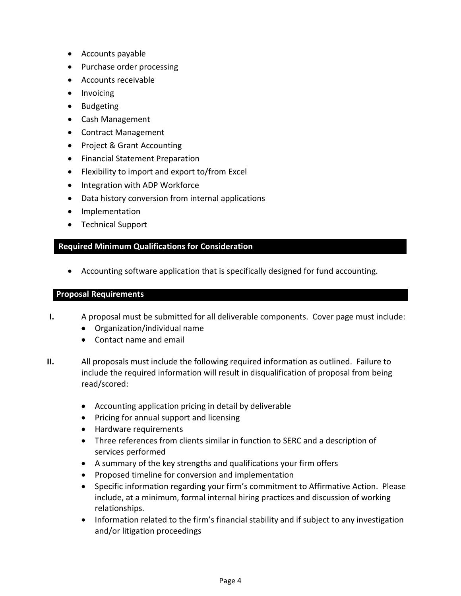- Accounts payable
- Purchase order processing
- Accounts receivable
- Invoicing
- Budgeting
- Cash Management
- Contract Management
- Project & Grant Accounting
- Financial Statement Preparation
- Flexibility to import and export to/from Excel
- Integration with ADP Workforce
- Data history conversion from internal applications
- Implementation
- Technical Support

# **Required Minimum Qualifications for Consideration**

• Accounting software application that is specifically designed for fund accounting.

## **Proposal Requirements**

- **I.** A proposal must be submitted for all deliverable components. Cover page must include:
	- Organization/individual name
	- Contact name and email
- **II.** All proposals must include the following required information as outlined. Failure to include the required information will result in disqualification of proposal from being read/scored:
	- Accounting application pricing in detail by deliverable
	- Pricing for annual support and licensing
	- Hardware requirements
	- Three references from clients similar in function to SERC and a description of services performed
	- A summary of the key strengths and qualifications your firm offers
	- Proposed timeline for conversion and implementation
	- Specific information regarding your firm's commitment to Affirmative Action. Please include, at a minimum, formal internal hiring practices and discussion of working relationships.
	- Information related to the firm's financial stability and if subject to any investigation and/or litigation proceedings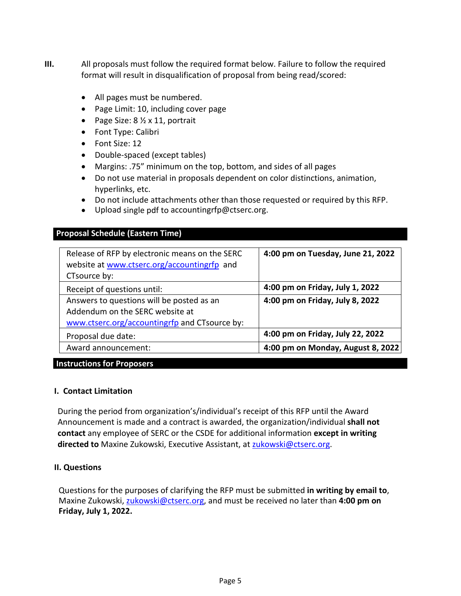- **III.** All proposals must follow the required format below. Failure to follow the required format will result in disqualification of proposal from being read/scored:
	- All pages must be numbered.
	- Page Limit: 10, including cover page
	- Page Size:  $8\frac{1}{2} \times 11$ , portrait
	- Font Type: Calibri
	- Font Size: 12
	- Double-spaced (except tables)
	- Margins: .75" minimum on the top, bottom, and sides of all pages
	- Do not use material in proposals dependent on color distinctions, animation, hyperlinks, etc.
	- Do not include attachments other than those requested or required by this RFP.
	- Upload single pdf to accountingrfp@ctserc.org.

# **Proposal Schedule (Eastern Time)**

| 4:00 pm on Tuesday, June 21, 2022 |
|-----------------------------------|
| 4:00 pm on Friday, July 1, 2022   |
| 4:00 pm on Friday, July 8, 2022   |
|                                   |
|                                   |
| 4:00 pm on Friday, July 22, 2022  |
| 4:00 pm on Monday, August 8, 2022 |
|                                   |

# **Instructions for Proposers**

# **I. Contact Limitation**

During the period from organization's/individual's receipt of this RFP until the Award Announcement is made and a contract is awarded, the organization/individual **shall not contact** any employee of SERC or the CSDE for additional information **except in writing directed to** Maxine Zukowski, Executive Assistant, at [zukowski@ctserc.org.](mailto:zukowski@ctserc.org)

# **II. Questions**

Questions for the purposes of clarifying the RFP must be submitted **in writing by email to**, Maxine Zukowski, [zukowski@ctserc.org,](mailto:zukowski@ctserc.org) and must be received no later than **4:00 pm on Friday, July 1, 2022.**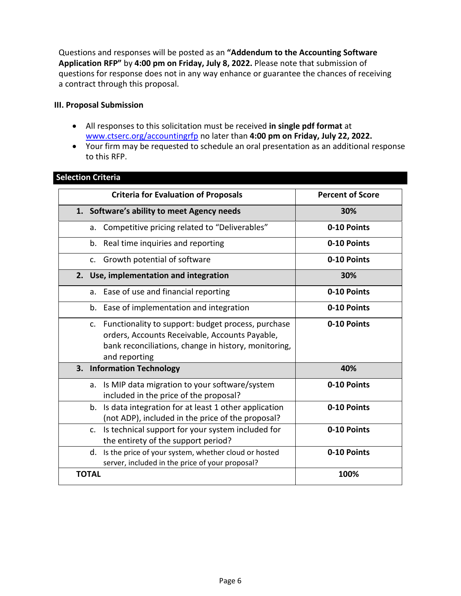Questions and responses will be posted as an **"Addendum to the Accounting Software Application RFP"** by **4:00 pm on Friday, July 8, 2022.** Please note that submission of questions for response does not in any way enhance or guarantee the chances of receiving a contract through this proposal.

#### **III. Proposal Submission**

- All responses to this solicitation must be received **in single pdf format** at [www.ctserc.org/accountingrfp](http://www.ctserc.org/accountingrfp) no later than **4:00 pm on Friday, July 22, 2022.**
- Your firm may be requested to schedule an oral presentation as an additional response to this RFP.

| <b>Criteria for Evaluation of Proposals</b>                                                                                                                                      | <b>Percent of Score</b> |
|----------------------------------------------------------------------------------------------------------------------------------------------------------------------------------|-------------------------|
| 1. Software's ability to meet Agency needs                                                                                                                                       | 30%                     |
| Competitive pricing related to "Deliverables"<br>a.                                                                                                                              | 0-10 Points             |
| Real time inquiries and reporting<br>$b_{\cdot}$                                                                                                                                 | 0-10 Points             |
| c. Growth potential of software                                                                                                                                                  | 0-10 Points             |
| 2. Use, implementation and integration                                                                                                                                           | 30%                     |
| Ease of use and financial reporting<br>a.                                                                                                                                        | 0-10 Points             |
| b. Ease of implementation and integration                                                                                                                                        | 0-10 Points             |
| c. Functionality to support: budget process, purchase<br>orders, Accounts Receivable, Accounts Payable,<br>bank reconciliations, change in history, monitoring,<br>and reporting | 0-10 Points             |
| 3. Information Technology                                                                                                                                                        | 40%                     |
| Is MIP data migration to your software/system<br>a.<br>included in the price of the proposal?                                                                                    | 0-10 Points             |
| Is data integration for at least 1 other application<br>$b_{\cdot}$<br>(not ADP), included in the price of the proposal?                                                         | 0-10 Points             |
| Is technical support for your system included for<br>$\mathsf{C}$ .<br>the entirety of the support period?                                                                       | 0-10 Points             |
| Is the price of your system, whether cloud or hosted<br>d.<br>server, included in the price of your proposal?                                                                    | 0-10 Points             |
| <b>TOTAL</b>                                                                                                                                                                     | 100%                    |

## **Selection Criteria**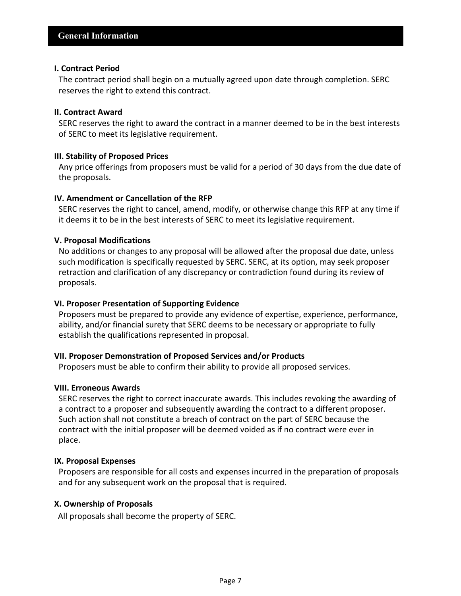#### **I. Contract Period**

The contract period shall begin on a mutually agreed upon date through completion. SERC reserves the right to extend this contract.

#### **II. Contract Award**

SERC reserves the right to award the contract in a manner deemed to be in the best interests of SERC to meet its legislative requirement.

#### **III. Stability of Proposed Prices**

Any price offerings from proposers must be valid for a period of 30 days from the due date of the proposals.

# **IV. Amendment or Cancellation of the RFP**

SERC reserves the right to cancel, amend, modify, or otherwise change this RFP at any time if it deems it to be in the best interests of SERC to meet its legislative requirement.

# **V. Proposal Modifications**

No additions or changes to any proposal will be allowed after the proposal due date, unless such modification is specifically requested by SERC. SERC, at its option, may seek proposer retraction and clarification of any discrepancy or contradiction found during its review of proposals.

#### **VI. Proposer Presentation of Supporting Evidence**

Proposers must be prepared to provide any evidence of expertise, experience, performance, ability, and/or financial surety that SERC deems to be necessary or appropriate to fully establish the qualifications represented in proposal.

#### **VII. Proposer Demonstration of Proposed Services and/or Products**

Proposers must be able to confirm their ability to provide all proposed services.

#### **VIII. Erroneous Awards**

SERC reserves the right to correct inaccurate awards. This includes revoking the awarding of a contract to a proposer and subsequently awarding the contract to a different proposer. Such action shall not constitute a breach of contract on the part of SERC because the contract with the initial proposer will be deemed voided as if no contract were ever in place.

#### **IX. Proposal Expenses**

Proposers are responsible for all costs and expenses incurred in the preparation of proposals and for any subsequent work on the proposal that is required.

#### **X. Ownership of Proposals**

All proposals shall become the property of SERC.